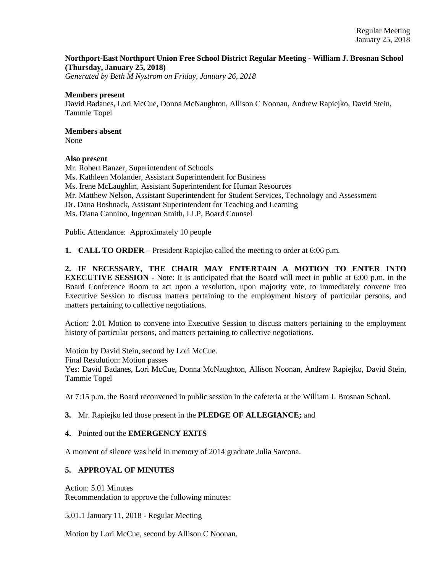### **Northport-East Northport Union Free School District Regular Meeting - William J. Brosnan School (Thursday, January 25, 2018)**

*Generated by Beth M Nystrom on Friday, January 26, 2018*

#### **Members present**

David Badanes, Lori McCue, Donna McNaughton, Allison C Noonan, Andrew Rapiejko, David Stein, Tammie Topel

## **Members absent**

None

### **Also present**

Mr. Robert Banzer, Superintendent of Schools Ms. Kathleen Molander, Assistant Superintendent for Business Ms. Irene McLaughlin, Assistant Superintendent for Human Resources Mr. Matthew Nelson, Assistant Superintendent for Student Services, Technology and Assessment Dr. Dana Boshnack, Assistant Superintendent for Teaching and Learning Ms. Diana Cannino, Ingerman Smith, LLP, Board Counsel Public Attendance: Approximately 10 people

**1. CALL TO ORDER** – President Rapiejko called the meeting to order at 6:06 p.m.

**2. IF NECESSARY, THE CHAIR MAY ENTERTAIN A MOTION TO ENTER INTO EXECUTIVE SESSION** - Note: It is anticipated that the Board will meet in public at 6:00 p.m. in the Board Conference Room to act upon a resolution, upon majority vote, to immediately convene into Executive Session to discuss matters pertaining to the employment history of particular persons, and matters pertaining to collective negotiations.

Action: 2.01 Motion to convene into Executive Session to discuss matters pertaining to the employment history of particular persons, and matters pertaining to collective negotiations.

Motion by David Stein, second by Lori McCue. Final Resolution: Motion passes Yes: David Badanes, Lori McCue, Donna McNaughton, Allison Noonan, Andrew Rapiejko, David Stein, Tammie Topel

At 7:15 p.m. the Board reconvened in public session in the cafeteria at the William J. Brosnan School.

### **3.** Mr. Rapiejko led those present in the **PLEDGE OF ALLEGIANCE;** and

### **4.** Pointed out the **EMERGENCY EXITS**

A moment of silence was held in memory of 2014 graduate Julia Sarcona.

### **5. APPROVAL OF MINUTES**

Action: 5.01 Minutes Recommendation to approve the following minutes:

5.01.1 January 11, 2018 - Regular Meeting

Motion by Lori McCue, second by Allison C Noonan.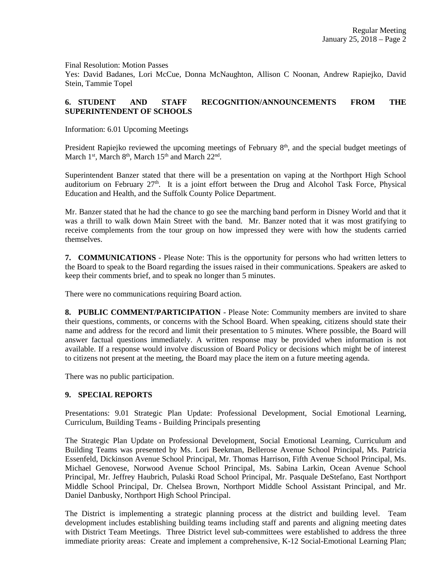Final Resolution: Motion Passes

Yes: David Badanes, Lori McCue, Donna McNaughton, Allison C Noonan, Andrew Rapiejko, David Stein, Tammie Topel

# **6. STUDENT AND STAFF RECOGNITION/ANNOUNCEMENTS FROM THE SUPERINTENDENT OF SCHOOLS**

Information: 6.01 Upcoming Meetings

President Rapiejko reviewed the upcoming meetings of February  $8<sup>th</sup>$ , and the special budget meetings of March  $1<sup>st</sup>$ , March  $8<sup>th</sup>$ , March  $15<sup>th</sup>$  and March  $22<sup>nd</sup>$ .

Superintendent Banzer stated that there will be a presentation on vaping at the Northport High School auditorium on February  $27<sup>th</sup>$ . It is a joint effort between the Drug and Alcohol Task Force, Physical Education and Health, and the Suffolk County Police Department.

Mr. Banzer stated that he had the chance to go see the marching band perform in Disney World and that it was a thrill to walk down Main Street with the band. Mr. Banzer noted that it was most gratifying to receive complements from the tour group on how impressed they were with how the students carried themselves.

**7. COMMUNICATIONS** - Please Note: This is the opportunity for persons who had written letters to the Board to speak to the Board regarding the issues raised in their communications. Speakers are asked to keep their comments brief, and to speak no longer than 5 minutes.

There were no communications requiring Board action.

**8. PUBLIC COMMENT/PARTICIPATION** - Please Note: Community members are invited to share their questions, comments, or concerns with the School Board. When speaking, citizens should state their name and address for the record and limit their presentation to 5 minutes. Where possible, the Board will answer factual questions immediately. A written response may be provided when information is not available. If a response would involve discussion of Board Policy or decisions which might be of interest to citizens not present at the meeting, the Board may place the item on a future meeting agenda.

There was no public participation.

### **9. SPECIAL REPORTS**

Presentations: 9.01 Strategic Plan Update: Professional Development, Social Emotional Learning, Curriculum, Building Teams - Building Principals presenting

The Strategic Plan Update on Professional Development, Social Emotional Learning, Curriculum and Building Teams was presented by Ms. Lori Beekman, Bellerose Avenue School Principal, Ms. Patricia Essenfeld, Dickinson Avenue School Principal, Mr. Thomas Harrison, Fifth Avenue School Principal, Ms. Michael Genovese, Norwood Avenue School Principal, Ms. Sabina Larkin, Ocean Avenue School Principal, Mr. Jeffrey Haubrich, Pulaski Road School Principal, Mr. Pasquale DeStefano, East Northport Middle School Principal, Dr. Chelsea Brown, Northport Middle School Assistant Principal, and Mr. Daniel Danbusky, Northport High School Principal.

The District is implementing a strategic planning process at the district and building level. Team development includes establishing building teams including staff and parents and aligning meeting dates with District Team Meetings. Three District level sub-committees were established to address the three immediate priority areas: Create and implement a comprehensive, K-12 Social-Emotional Learning Plan;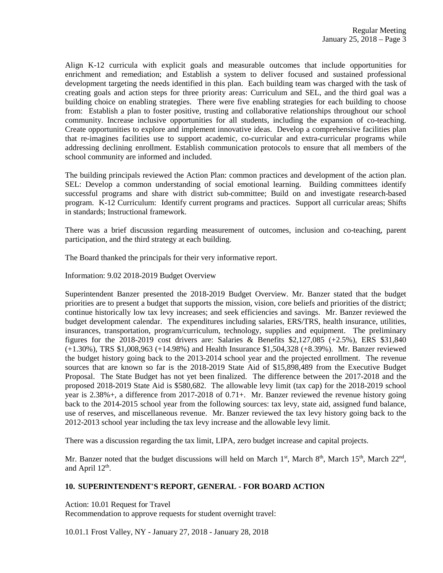Align K-12 curricula with explicit goals and measurable outcomes that include opportunities for enrichment and remediation; and Establish a system to deliver focused and sustained professional development targeting the needs identified in this plan. Each building team was charged with the task of creating goals and action steps for three priority areas: Curriculum and SEL, and the third goal was a building choice on enabling strategies. There were five enabling strategies for each building to choose from: Establish a plan to foster positive, trusting and collaborative relationships throughout our school community. Increase inclusive opportunities for all students, including the expansion of co-teaching. Create opportunities to explore and implement innovative ideas. Develop a comprehensive facilities plan that re-imagines facilities use to support academic, co-curricular and extra-curricular programs while addressing declining enrollment. Establish communication protocols to ensure that all members of the school community are informed and included.

The building principals reviewed the Action Plan: common practices and development of the action plan. SEL: Develop a common understanding of social emotional learning. Building committees identify successful programs and share with district sub-committee; Build on and investigate research-based program. K-12 Curriculum: Identify current programs and practices. Support all curricular areas; Shifts in standards; Instructional framework.

There was a brief discussion regarding measurement of outcomes, inclusion and co-teaching, parent participation, and the third strategy at each building.

The Board thanked the principals for their very informative report.

Information: 9.02 2018-2019 Budget Overview

Superintendent Banzer presented the 2018-2019 Budget Overview. Mr. Banzer stated that the budget priorities are to present a budget that supports the mission, vision, core beliefs and priorities of the district; continue historically low tax levy increases; and seek efficiencies and savings. Mr. Banzer reviewed the budget development calendar. The expenditures including salaries, ERS/TRS, health insurance, utilities, insurances, transportation, program/curriculum, technology, supplies and equipment. The preliminary figures for the  $2018-2019$  cost drivers are: Salaries & Benefits \$2,127,085 (+2.5%), ERS \$31,840 (+1.30%), TRS \$1,008,963 (+14.98%) and Health Insurance \$1,504,328 (+8.39%). Mr. Banzer reviewed the budget history going back to the 2013-2014 school year and the projected enrollment. The revenue sources that are known so far is the 2018-2019 State Aid of \$15,898,489 from the Executive Budget Proposal. The State Budget has not yet been finalized. The difference between the 2017-2018 and the proposed 2018-2019 State Aid is \$580,682. The allowable levy limit (tax cap) for the 2018-2019 school year is 2.38%+, a difference from 2017-2018 of 0.71+. Mr. Banzer reviewed the revenue history going back to the 2014-2015 school year from the following sources: tax levy, state aid, assigned fund balance, use of reserves, and miscellaneous revenue. Mr. Banzer reviewed the tax levy history going back to the 2012-2013 school year including the tax levy increase and the allowable levy limit.

There was a discussion regarding the tax limit, LIPA, zero budget increase and capital projects.

Mr. Banzer noted that the budget discussions will held on March 1<sup>st</sup>, March 8<sup>th</sup>, March 15<sup>th</sup>, March 22<sup>nd</sup>, and April  $12<sup>th</sup>$ .

#### **10. SUPERINTENDENT'S REPORT, GENERAL - FOR BOARD ACTION**

Action: 10.01 Request for Travel

Recommendation to approve requests for student overnight travel:

10.01.1 Frost Valley, NY - January 27, 2018 - January 28, 2018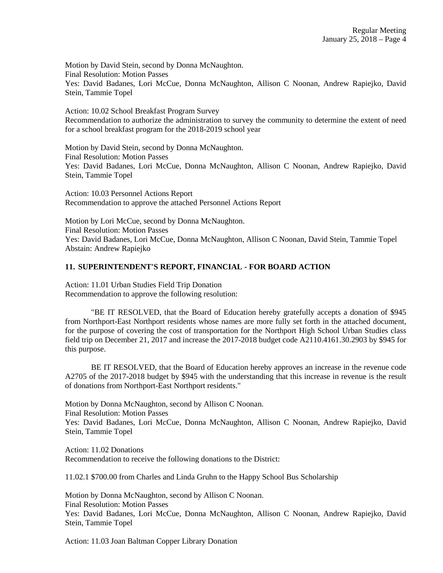Motion by David Stein, second by Donna McNaughton. Final Resolution: Motion Passes Yes: David Badanes, Lori McCue, Donna McNaughton, Allison C Noonan, Andrew Rapiejko, David Stein, Tammie Topel

Action: 10.02 School Breakfast Program Survey Recommendation to authorize the administration to survey the community to determine the extent of need for a school breakfast program for the 2018-2019 school year

Motion by David Stein, second by Donna McNaughton. Final Resolution: Motion Passes Yes: David Badanes, Lori McCue, Donna McNaughton, Allison C Noonan, Andrew Rapiejko, David Stein, Tammie Topel

Action: 10.03 Personnel Actions Report Recommendation to approve the attached Personnel Actions Report

Motion by Lori McCue, second by Donna McNaughton. Final Resolution: Motion Passes Yes: David Badanes, Lori McCue, Donna McNaughton, Allison C Noonan, David Stein, Tammie Topel Abstain: Andrew Rapiejko

### **11. SUPERINTENDENT'S REPORT, FINANCIAL - FOR BOARD ACTION**

Action: 11.01 Urban Studies Field Trip Donation Recommendation to approve the following resolution:

"BE IT RESOLVED, that the Board of Education hereby gratefully accepts a donation of \$945 from Northport-East Northport residents whose names are more fully set forth in the attached document, for the purpose of covering the cost of transportation for the Northport High School Urban Studies class field trip on December 21, 2017 and increase the 2017-2018 budget code A2110.4161.30.2903 by \$945 for this purpose.

BE IT RESOLVED, that the Board of Education hereby approves an increase in the revenue code A2705 of the 2017-2018 budget by \$945 with the understanding that this increase in revenue is the result of donations from Northport-East Northport residents."

Motion by Donna McNaughton, second by Allison C Noonan.

Final Resolution: Motion Passes

Yes: David Badanes, Lori McCue, Donna McNaughton, Allison C Noonan, Andrew Rapiejko, David Stein, Tammie Topel

Action: 11.02 Donations Recommendation to receive the following donations to the District:

11.02.1 \$700.00 from Charles and Linda Gruhn to the Happy School Bus Scholarship

Motion by Donna McNaughton, second by Allison C Noonan. Final Resolution: Motion Passes

Yes: David Badanes, Lori McCue, Donna McNaughton, Allison C Noonan, Andrew Rapiejko, David Stein, Tammie Topel

Action: 11.03 Joan Baltman Copper Library Donation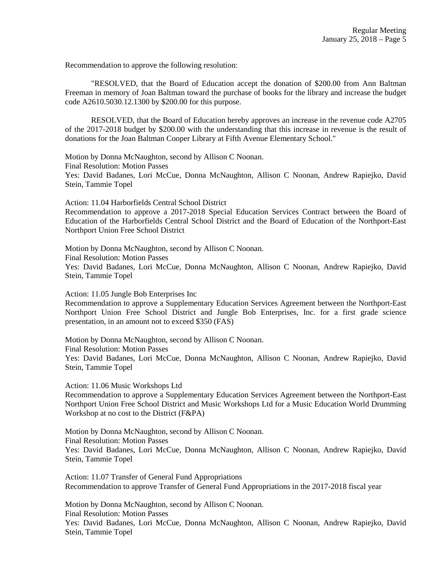Recommendation to approve the following resolution:

"RESOLVED, that the Board of Education accept the donation of \$200.00 from Ann Baltman Freeman in memory of Joan Baltman toward the purchase of books for the library and increase the budget code A2610.5030.12.1300 by \$200.00 for this purpose.

RESOLVED, that the Board of Education hereby approves an increase in the revenue code A2705 of the 2017-2018 budget by \$200.00 with the understanding that this increase in revenue is the result of donations for the Joan Baltman Cooper Library at Fifth Avenue Elementary School."

Motion by Donna McNaughton, second by Allison C Noonan.

Final Resolution: Motion Passes

Yes: David Badanes, Lori McCue, Donna McNaughton, Allison C Noonan, Andrew Rapiejko, David Stein, Tammie Topel

Action: 11.04 Harborfields Central School District

Recommendation to approve a 2017-2018 Special Education Services Contract between the Board of Education of the Harborfields Central School District and the Board of Education of the Northport-East Northport Union Free School District

Motion by Donna McNaughton, second by Allison C Noonan. Final Resolution: Motion Passes Yes: David Badanes, Lori McCue, Donna McNaughton, Allison C Noonan, Andrew Rapiejko, David Stein, Tammie Topel

Action: 11.05 Jungle Bob Enterprises Inc

Recommendation to approve a Supplementary Education Services Agreement between the Northport-East Northport Union Free School District and Jungle Bob Enterprises, Inc. for a first grade science presentation, in an amount not to exceed \$350 (FAS)

Motion by Donna McNaughton, second by Allison C Noonan. Final Resolution: Motion Passes Yes: David Badanes, Lori McCue, Donna McNaughton, Allison C Noonan, Andrew Rapiejko, David Stein, Tammie Topel

Action: 11.06 Music Workshops Ltd

Recommendation to approve a Supplementary Education Services Agreement between the Northport-East Northport Union Free School District and Music Workshops Ltd for a Music Education World Drumming Workshop at no cost to the District (F&PA)

Motion by Donna McNaughton, second by Allison C Noonan. Final Resolution: Motion Passes Yes: David Badanes, Lori McCue, Donna McNaughton, Allison C Noonan, Andrew Rapiejko, David Stein, Tammie Topel

Action: 11.07 Transfer of General Fund Appropriations Recommendation to approve Transfer of General Fund Appropriations in the 2017-2018 fiscal year

Motion by Donna McNaughton, second by Allison C Noonan. Final Resolution: Motion Passes Yes: David Badanes, Lori McCue, Donna McNaughton, Allison C Noonan, Andrew Rapiejko, David Stein, Tammie Topel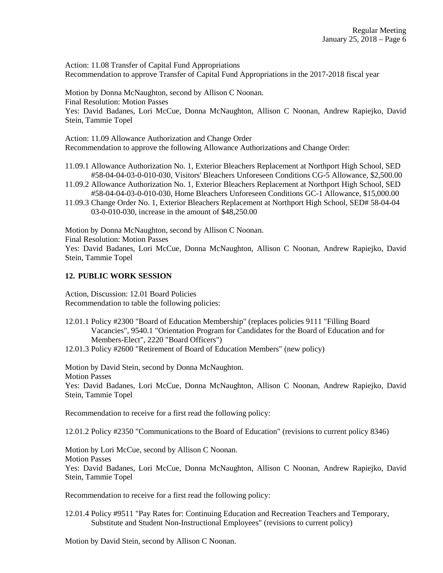Action: 11.08 Transfer of Capital Fund Appropriations Recommendation to approve Transfer of Capital Fund Appropriations in the 2017-2018 fiscal year

Motion by Donna McNaughton, second by Allison C Noonan. Final Resolution: Motion Passes Yes: David Badanes, Lori McCue, Donna McNaughton, Allison C Noonan, Andrew Rapiejko, David Stein, Tammie Topel

Action: 11.09 Allowance Authorization and Change Order Recommendation to approve the following Allowance Authorizations and Change Order:

- 11.09.1 Allowance Authorization No. 1, Exterior Bleachers Replacement at Northport High School, SED #58-04-04-03-0-010-030, Visitors' Bleachers Unforeseen Conditions CG-5 Allowance, \$2,500.00
- 11.09.2 Allowance Authorization No. 1, Exterior Bleachers Replacement at Northport High School, SED #58-04-04-03-0-010-030, Home Bleachers Unforeseen Conditions GC-1 Allowance, \$15,000.00
- 11.09.3 Change Order No. 1, Exterior Bleachers Replacement at Northport High School, SED# 58-04-04 03-0-010-030, increase in the amount of \$48,250.00

Motion by Donna McNaughton, second by Allison C Noonan.

Final Resolution: Motion Passes

Yes: David Badanes, Lori McCue, Donna McNaughton, Allison C Noonan, Andrew Rapiejko, David Stein, Tammie Topel

### **12. PUBLIC WORK SESSION**

Action, Discussion: 12.01 Board Policies Recommendation to table the following policies:

- 12.01.1 Policy #2300 "Board of Education Membership" (replaces policies 9111 "Filling Board Vacancies", 9540.1 "Orientation Program for Candidates for the Board of Education and for Members-Elect", 2220 "Board Officers")
- 12.01.3 Policy #2600 "Retirement of Board of Education Members" (new policy)

Motion by David Stein, second by Donna McNaughton. Motion Passes Yes: David Badanes, Lori McCue, Donna McNaughton, Allison C Noonan, Andrew Rapiejko, David Stein, Tammie Topel

Recommendation to receive for a first read the following policy:

12.01.2 Policy #2350 "Communications to the Board of Education" (revisions to current policy 8346)

Motion by Lori McCue, second by Allison C Noonan. Motion Passes Yes: David Badanes, Lori McCue, Donna McNaughton, Allison C Noonan, Andrew Rapiejko, David Stein, Tammie Topel

Recommendation to receive for a first read the following policy:

12.01.4 Policy #9511 "Pay Rates for: Continuing Education and Recreation Teachers and Temporary, Substitute and Student Non-Instructional Employees" (revisions to current policy)

Motion by David Stein, second by Allison C Noonan.